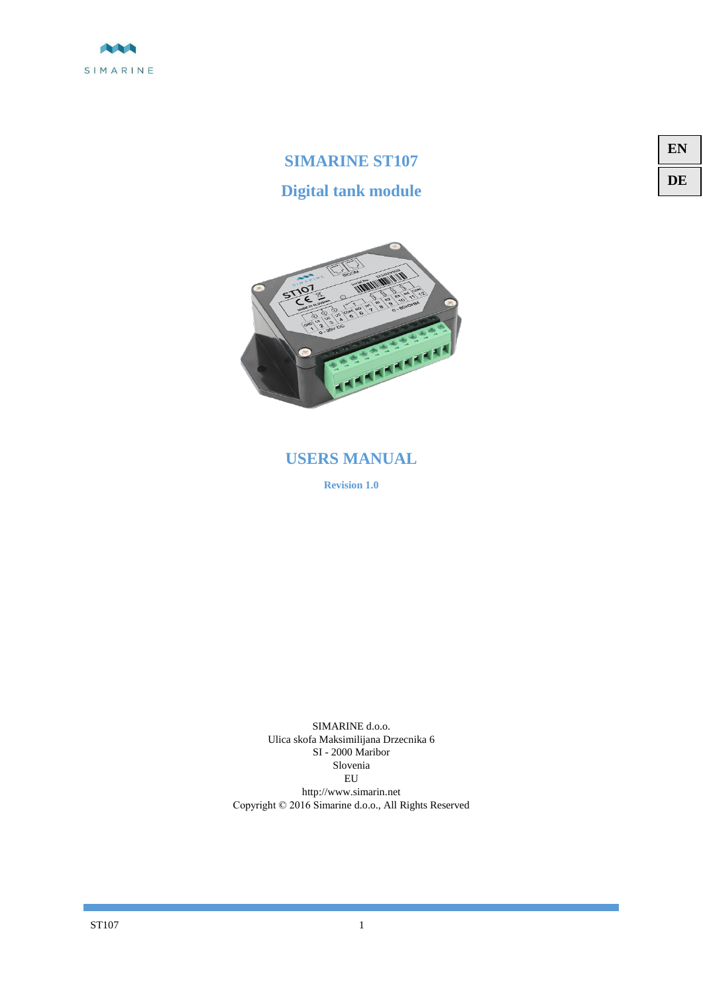

# **SIMARINE ST107 Digital tank module**



**USERS MANUAL Revision 1.0**

SIMARINE d.o.o. Ulica skofa Maksimilijana Drzecnika 6 SI - 2000 Maribor Slovenia EU http://www.simarin.net Copyright © 2016 Simarine d.o.o., All Rights Reserved

**EN DE**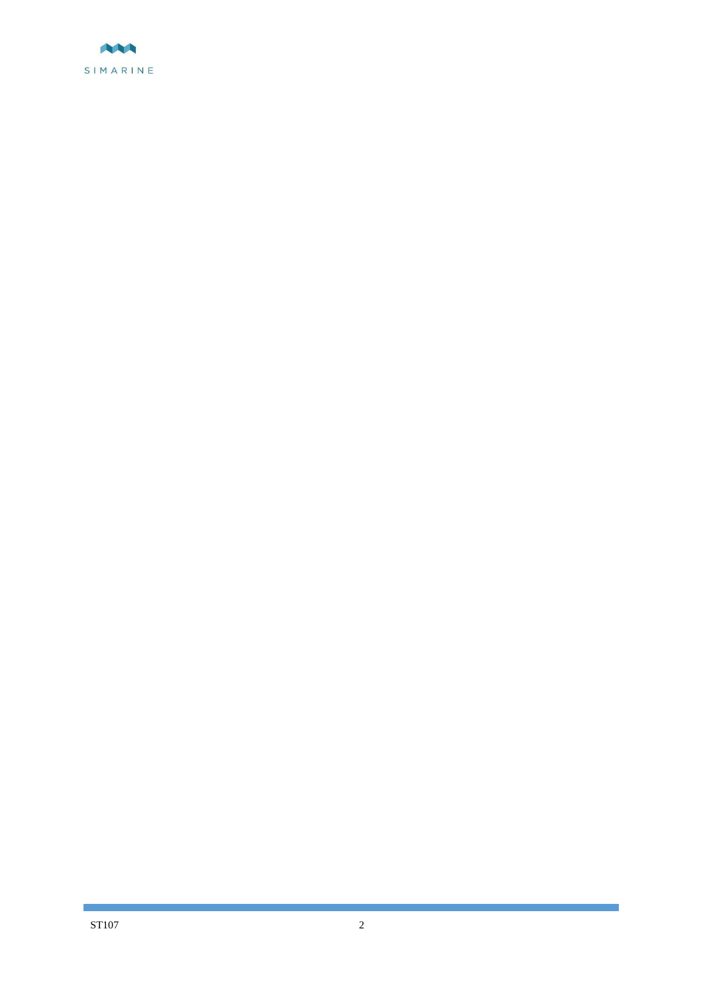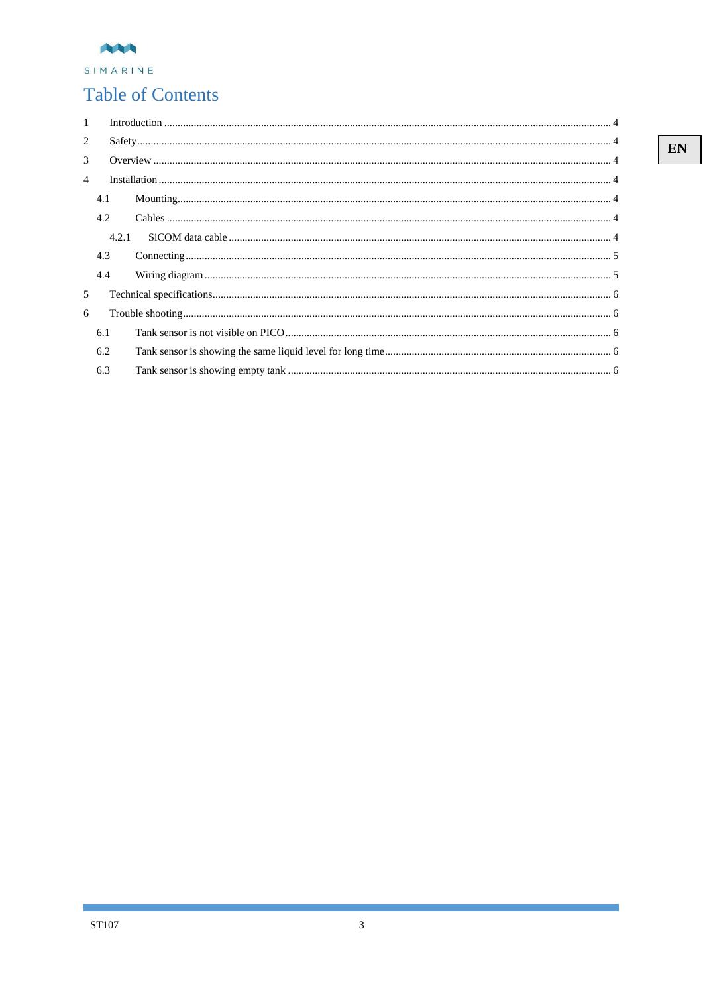

# **Table of Contents**

| $\mathbf{1}$   |       |  |  |
|----------------|-------|--|--|
| 2              |       |  |  |
| 3              |       |  |  |
| $\overline{4}$ |       |  |  |
|                | 4.1   |  |  |
|                | 4.2   |  |  |
|                | 4.2.1 |  |  |
|                | 4.3   |  |  |
|                | 4.4   |  |  |
| 5              |       |  |  |
| 6              |       |  |  |
|                | 6.1   |  |  |
|                | 6.2   |  |  |
|                | 6.3   |  |  |

EN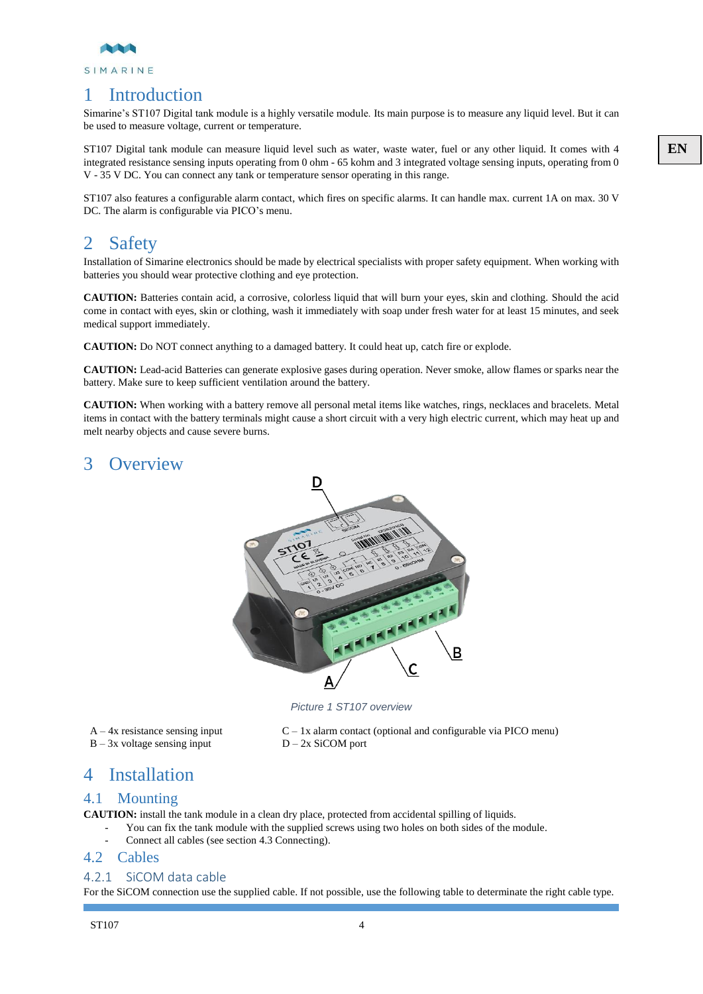

## 1 Introduction

Simarine's ST107 Digital tank module is a highly versatile module. Its main purpose is to measure any liquid level. But it can be used to measure voltage, current or temperature.

ST107 Digital tank module can measure liquid level such as water, waste water, fuel or any other liquid. It comes with 4 integrated resistance sensing inputs operating from 0 ohm - 65 kohm and 3 integrated voltage sensing inputs, operating from 0 V - 35 V DC. You can connect any tank or temperature sensor operating in this range.

ST107 also features a configurable alarm contact, which fires on specific alarms. It can handle max. current 1A on max. 30 V DC. The alarm is configurable via PICO's menu.

# 2 Safety

Installation of Simarine electronics should be made by electrical specialists with proper safety equipment. When working with batteries you should wear protective clothing and eye protection.

**CAUTION:** Batteries contain acid, a corrosive, colorless liquid that will burn your eyes, skin and clothing. Should the acid come in contact with eyes, skin or clothing, wash it immediately with soap under fresh water for at least 15 minutes, and seek medical support immediately.

**CAUTION:** Do NOT connect anything to a damaged battery. It could heat up, catch fire or explode.

**CAUTION:** Lead-acid Batteries can generate explosive gases during operation. Never smoke, allow flames or sparks near the battery. Make sure to keep sufficient ventilation around the battery.

**CAUTION:** When working with a battery remove all personal metal items like watches, rings, necklaces and bracelets. Metal items in contact with the battery terminals might cause a short circuit with a very high electric current, which may heat up and melt nearby objects and cause severe burns.

# 3 Overview



*Picture 1 ST107 overview*

 $B - 3x$  voltage sensing input  $D - 2x$  SiCOM port

 $A - 4x$  resistance sensing input  $C - 1x$  alarm contact (optional and configurable via PICO menu)

# 4 Installation

#### 4.1 Mounting

**CAUTION:** install the tank module in a clean dry place, protected from accidental spilling of liquids.

- You can fix the tank module with the supplied screws using two holes on both sides of the module.
- Connect all cables (see section [4.3](#page-4-0) [Connecting\)](#page-4-0).

#### 4.2 Cables

#### <span id="page-3-0"></span>4.2.1 SiCOM data cable

For the SiCOM connection use the supplied cable. If not possible, use the following table to determinate the right cable type.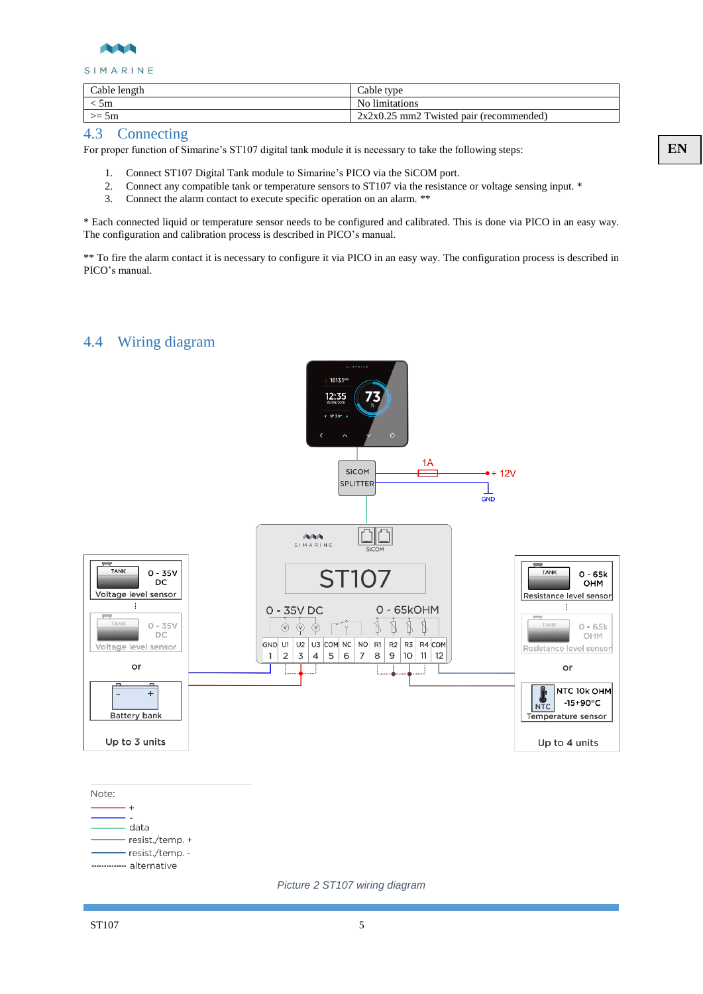

| Cable length | Cable type                                |
|--------------|-------------------------------------------|
| эm           | Nο<br>limitations                         |
| 5m<br>$\geq$ | $2x2x0.25$ mm2 Twisted pair (recommended) |

#### <span id="page-4-0"></span>4.3 Connecting

For proper function of Simarine's ST107 digital tank module it is necessary to take the following steps:

- 1. Connect ST107 Digital Tank module to Simarine's PICO via the SiCOM port.
- 2. Connect any compatible tank or temperature sensors to ST107 via the resistance or voltage sensing input. \*
- 3. Connect the alarm contact to execute specific operation on an alarm. \*\*

\* Each connected liquid or temperature sensor needs to be configured and calibrated. This is done via PICO in an easy way. The configuration and calibration process is described in PICO's manual.

\*\* To fire the alarm contact it is necessary to configure it via PICO in an easy way. The configuration process is described in PICO's manual.







**EN**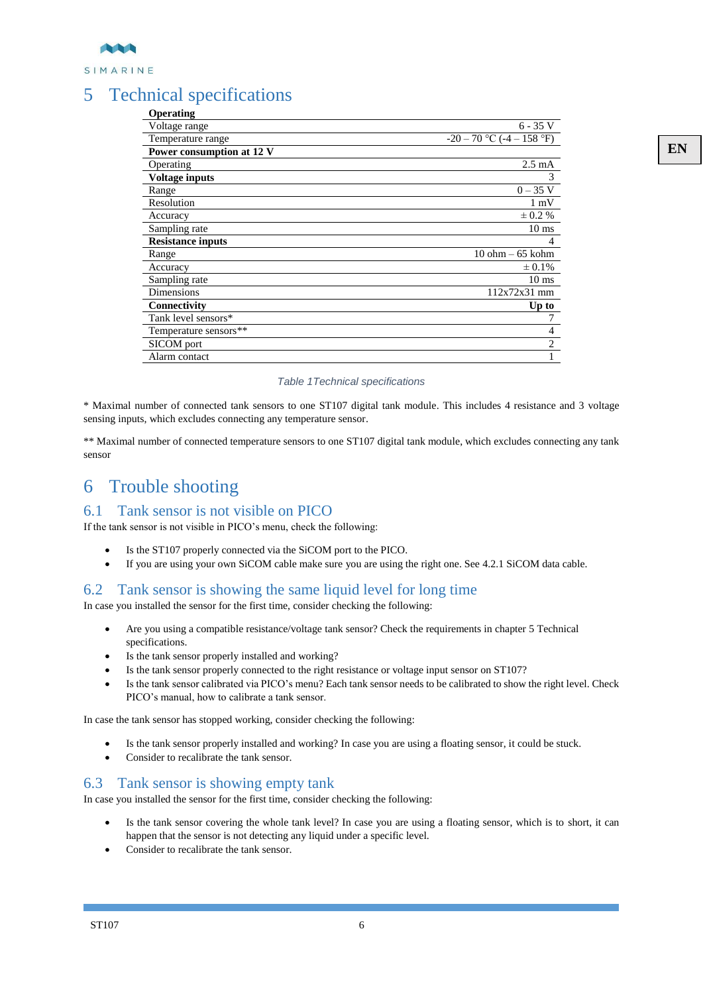

# <span id="page-5-0"></span>5 Technical specifications

| Operating                 |                                    |
|---------------------------|------------------------------------|
| Voltage range             | $6 - 35$ V                         |
| Temperature range         | $-20-70$ °C ( $-4-158$ °F)         |
| Power consumption at 12 V |                                    |
| Operating                 | $2.5 \text{ mA}$                   |
| <b>Voltage inputs</b>     | 3                                  |
| Range                     | $0 - 35$ V                         |
| Resolution                | $1 \text{ mV}$                     |
| Accuracy                  | $\pm$ 0.2 %                        |
| Sampling rate             | 10 <sub>ms</sub>                   |
| <b>Resistance inputs</b>  | 4                                  |
| Range                     | $10 \text{ ohm} - 65 \text{ kohm}$ |
| Accuracy                  | $\pm 0.1\%$                        |
| Sampling rate             | $10 \text{ ms}$                    |
| Dimensions                | $112x72x31$ mm                     |
| Connectivity              | Up to                              |
| Tank level sensors*       | 7                                  |
| Temperature sensors**     | $\overline{\mathbf{4}}$            |
| SICOM port                | $\overline{2}$                     |
| Alarm contact             |                                    |

#### *Table 1Technical specifications*

\* Maximal number of connected tank sensors to one ST107 digital tank module. This includes 4 resistance and 3 voltage sensing inputs, which excludes connecting any temperature sensor.

\*\* Maximal number of connected temperature sensors to one ST107 digital tank module, which excludes connecting any tank sensor

### 6 Trouble shooting

#### 6.1 Tank sensor is not visible on PICO

If the tank sensor is not visible in PICO's menu, check the following:

- Is the ST107 properly connected via the SiCOM port to the PICO.
- If you are using your own SiCOM cable make sure you are using the right one. See [4.2.1](#page-3-0) [SiCOM data cable.](#page-3-0)

#### 6.2 Tank sensor is showing the same liquid level for long time

In case you installed the sensor for the first time, consider checking the following:

- Are you using a compatible resistance/voltage tank sensor? Check the requirements in chapter [5](#page-5-0) [Technical](#page-5-0)  [specifications.](#page-5-0)
- Is the tank sensor properly installed and working?
- Is the tank sensor properly connected to the right resistance or voltage input sensor on ST107?
- Is the tank sensor calibrated via PICO's menu? Each tank sensor needs to be calibrated to show the right level. Check PICO's manual, how to calibrate a tank sensor.

In case the tank sensor has stopped working, consider checking the following:

- Is the tank sensor properly installed and working? In case you are using a floating sensor, it could be stuck.
- Consider to recalibrate the tank sensor.

#### 6.3 Tank sensor is showing empty tank

In case you installed the sensor for the first time, consider checking the following:

- Is the tank sensor covering the whole tank level? In case you are using a floating sensor, which is to short, it can happen that the sensor is not detecting any liquid under a specific level.
- Consider to recalibrate the tank sensor.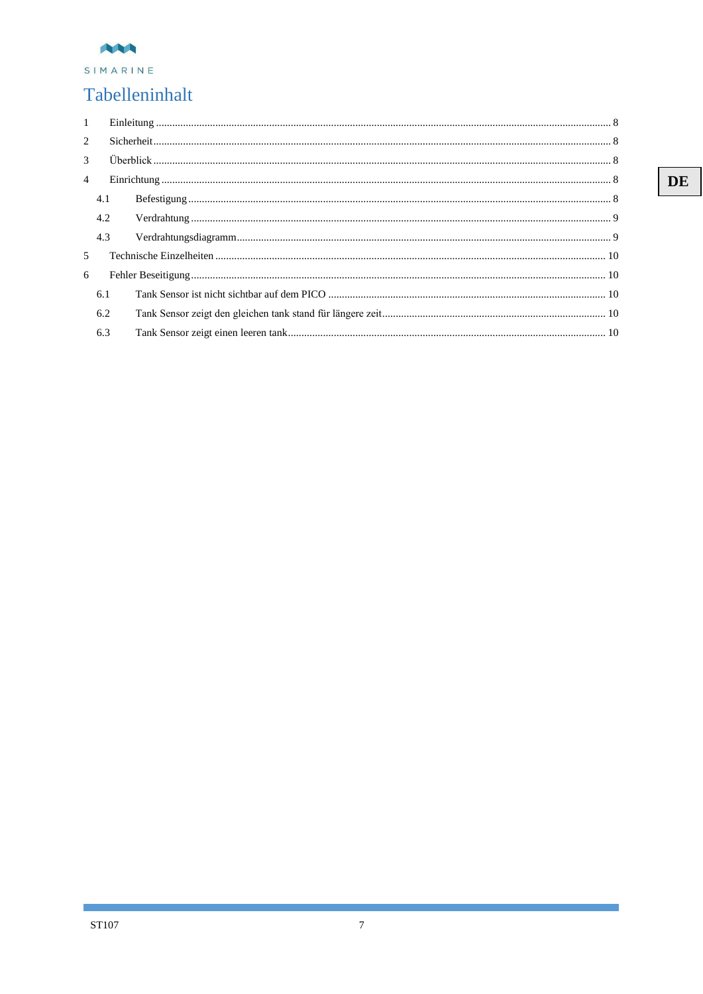

# Tabelleninhalt

| $\mathbf{1}$   |     |  |  |
|----------------|-----|--|--|
| 2              |     |  |  |
| 3              |     |  |  |
| $\overline{4}$ |     |  |  |
|                | 4.1 |  |  |
|                | 4.2 |  |  |
|                | 4.3 |  |  |
| 5              |     |  |  |
| 6              |     |  |  |
|                | 6.1 |  |  |
|                | 6.2 |  |  |
|                | 6.3 |  |  |

### $DE$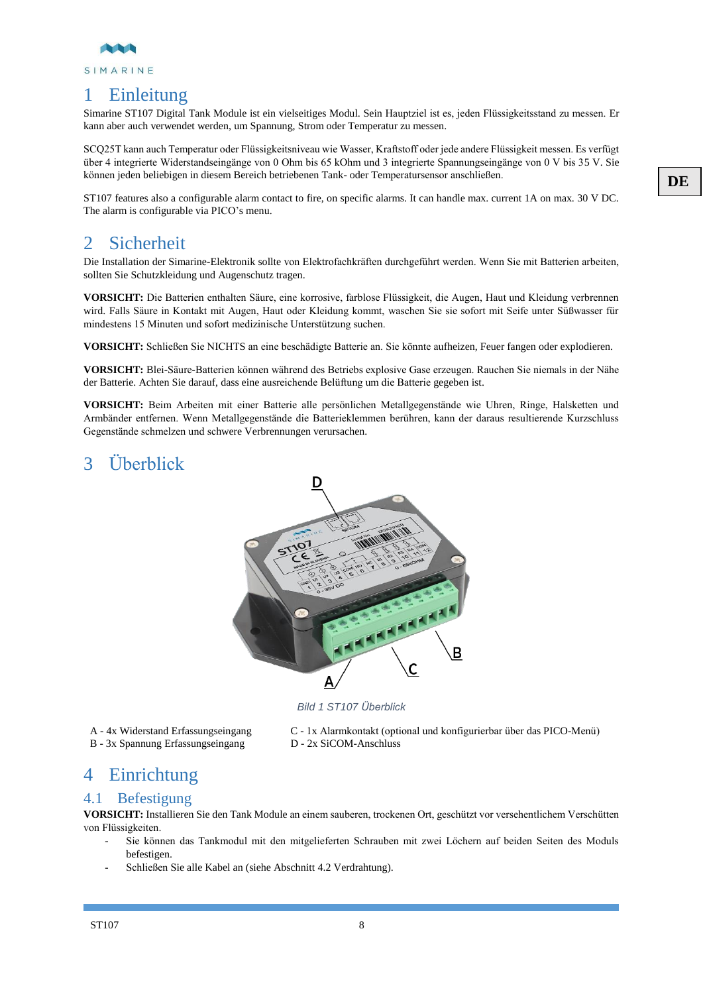

# 1 Einleitung

Simarine ST107 Digital Tank Module ist ein vielseitiges Modul. Sein Hauptziel ist es, jeden Flüssigkeitsstand zu messen. Er kann aber auch verwendet werden, um Spannung, Strom oder Temperatur zu messen.

SCQ25T kann auch Temperatur oder Flüssigkeitsniveau wie Wasser, Kraftstoff oder jede andere Flüssigkeit messen. Es verfügt über 4 integrierte Widerstandseingänge von 0 Ohm bis 65 kOhm und 3 integrierte Spannungseingänge von 0 V bis 35 V. Sie können jeden beliebigen in diesem Bereich betriebenen Tank- oder Temperatursensor anschließen.

ST107 features also a configurable alarm contact to fire, on specific alarms. It can handle max. current 1A on max. 30 V DC. The alarm is configurable via PICO's menu.

# 2 Sicherheit

Die Installation der Simarine-Elektronik sollte von Elektrofachkräften durchgeführt werden. Wenn Sie mit Batterien arbeiten, sollten Sie Schutzkleidung und Augenschutz tragen.

**VORSICHT:** Die Batterien enthalten Säure, eine korrosive, farblose Flüssigkeit, die Augen, Haut und Kleidung verbrennen wird. Falls Säure in Kontakt mit Augen, Haut oder Kleidung kommt, waschen Sie sie sofort mit Seife unter Süßwasser für mindestens 15 Minuten und sofort medizinische Unterstützung suchen.

**VORSICHT:** Schließen Sie NICHTS an eine beschädigte Batterie an. Sie könnte aufheizen, Feuer fangen oder explodieren.

**VORSICHT:** Blei-Säure-Batterien können während des Betriebs explosive Gase erzeugen. Rauchen Sie niemals in der Nähe der Batterie. Achten Sie darauf, dass eine ausreichende Belüftung um die Batterie gegeben ist.

**VORSICHT:** Beim Arbeiten mit einer Batterie alle persönlichen Metallgegenstände wie Uhren, Ringe, Halsketten und Armbänder entfernen. Wenn Metallgegenstände die Batterieklemmen berühren, kann der daraus resultierende Kurzschluss Gegenstände schmelzen und schwere Verbrennungen verursachen.

# 3 Überblick



*Bild 1 ST107 Überblick*

B - 3x Spannung Erfassungseingang

A - 4x Widerstand Erfassungseingang C - 1x Alarmkontakt (optional und konfigurierbar über das PICO-Menü)<br>B - 3x Spannung Erfassungseingang D - 2x SiCOM-Anschluss

# 4 Einrichtung

#### 4.1 Befestigung

**VORSICHT:** Installieren Sie den Tank Module an einem sauberen, trockenen Ort, geschützt vor versehentlichem Verschütten von Flüssigkeiten.

- Sie können das Tankmodul mit den mitgelieferten Schrauben mit zwei Löchern auf beiden Seiten des Moduls befestigen.
- Schließen Sie alle Kabel an (siehe Abschnitt [4.2](#page-8-0) [Verdrahtung\)](#page-8-0).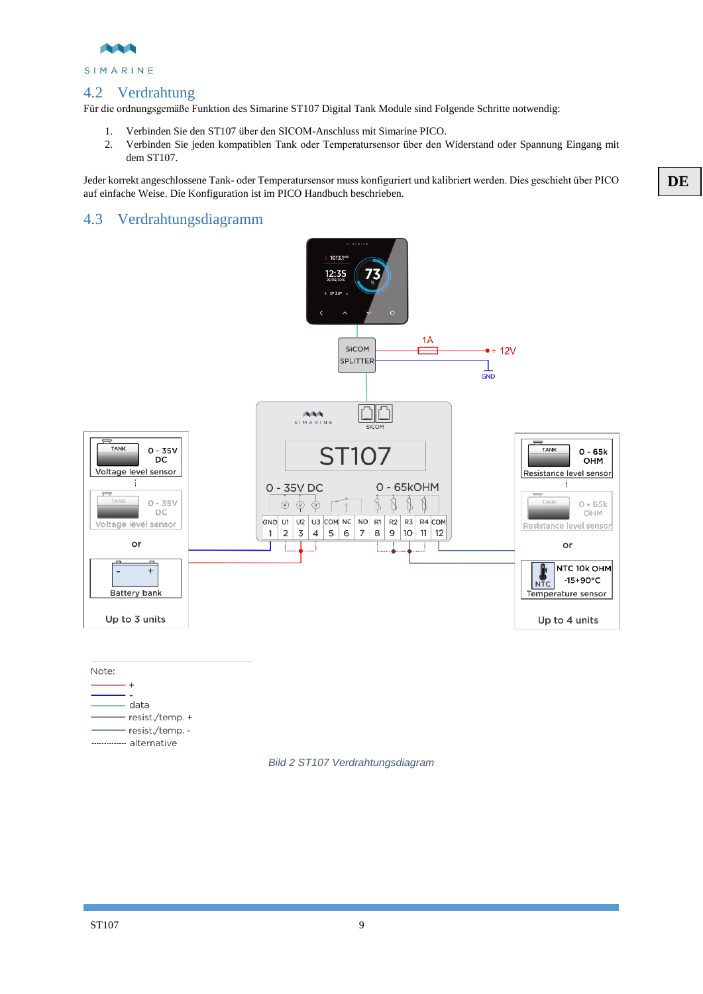

#### <span id="page-8-0"></span>4.2 Verdrahtung

Für die ordnungsgemäße Funktion des Simarine ST107 Digital Tank Module sind Folgende Schritte notwendig:

- 1. Verbinden Sie den ST107 über den SICOM-Anschluss mit Simarine PICO.
- 2. Verbinden Sie jeden kompatiblen Tank oder Temperatursensor über den Widerstand oder Spannung Eingang mit dem ST107.

Jeder korrekt angeschlossene Tank- oder Temperatursensor muss konfiguriert und kalibriert werden. Dies geschieht über PICO auf einfache Weise. Die Konfiguration ist im PICO Handbuch beschrieben.

#### 4.3 Verdrahtungsdiagramm



| Note:                                                  |                                  |
|--------------------------------------------------------|----------------------------------|
|                                                        |                                  |
| data<br>- resist./temp. -<br>------------- alternative |                                  |
|                                                        | Bild 2 ST107 Verdrahtungsdiagram |

**DE**